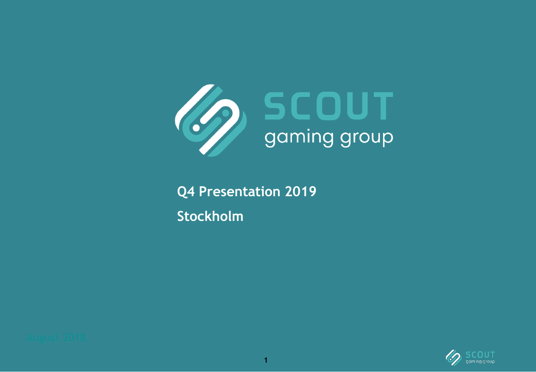

**Q4 Presentation 2019 Stockholm**



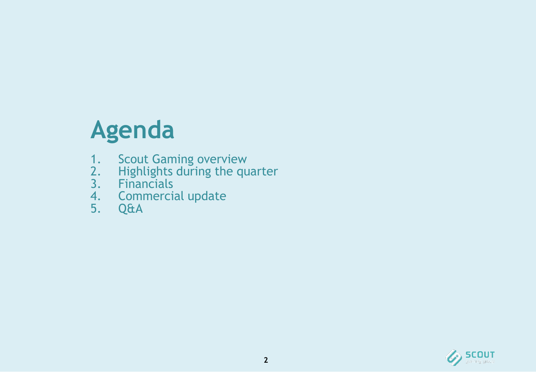# **Agenda**

- 1. Scout Gaming overview
- 2. Highlights during the quarter
- 3. Financials
- 4. Commercial update
- 5. Q&A

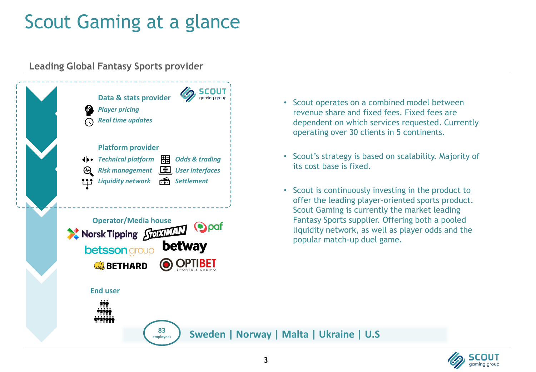# Scout Gaming at a glance

#### **Leading Global Fantasy Sports provider**



- Scout operates on a combined model between revenue share and fixed fees. Fixed fees are dependent on which services requested. Currently operating over 30 clients in 5 continents.
- Scout's strategy is based on scalability. Majority of its cost base is fixed.
- Scout is continuously investing in the product to offer the leading player-oriented sports product. Scout Gaming is currently the market leading Fantasy Sports supplier. Offering both a pooled liquidity network, as well as player odds and the popular match-up duel game.

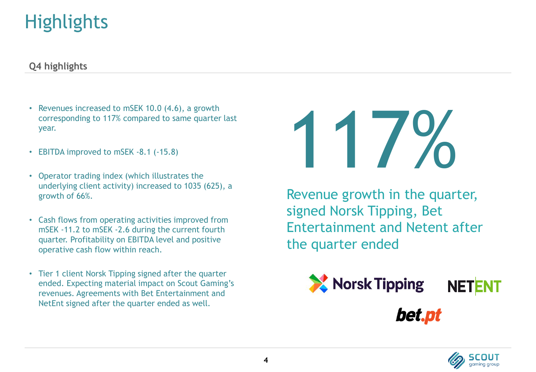# **Highlights**

#### **Q4 highlights**

- Revenues increased to mSEK 10.0 (4.6), a growth corresponding to 117% compared to same quarter last year.
- EBITDA improved to mSEK -8.1 (-15.8)
- Operator trading index (which illustrates the underlying client activity) increased to 1035 (625), a growth of 66%.
- Cash flows from operating activities improved from mSEK -11.2 to mSEK -2.6 during the current fourth quarter. Profitability on EBITDA level and positive operative cash flow within reach.
- Tier 1 client Norsk Tipping signed after the quarter ended. Expecting material impact on Scout Gaming's revenues. Agreements with Bet Entertainment and NetEnt signed after the quarter ended as well.

# 117%

Revenue growth in the quarter, signed Norsk Tipping, Bet Entertainment and Netent after the quarter ended



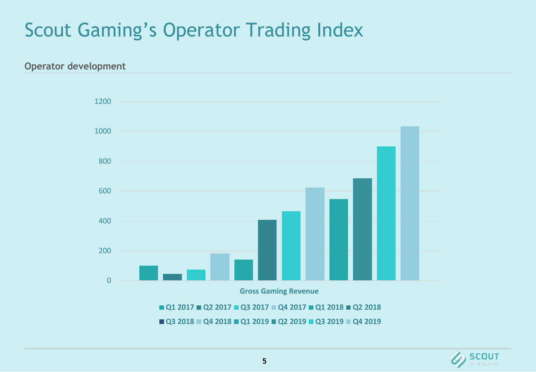# Scout Gaming's Operator Trading Index



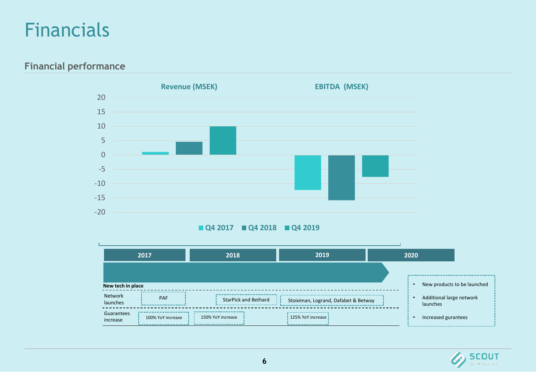#### Financials

**Financial performance**



#### **Q4 2017 Q4 2018 Q4 2019**

|                        | 2017              | 2018                        | 2019                                 | 2020                                 |                             |
|------------------------|-------------------|-----------------------------|--------------------------------------|--------------------------------------|-----------------------------|
| New tech in place      |                   |                             |                                      |                                      | New products to be launched |
| Network<br>launches    | PAF               | <b>StarPick and Bethard</b> | Stoiximan, Logrand, Dafabet & Betway | Additional large network<br>launches |                             |
| Guarantees<br>increase | 100% YoY increase | 150% YoY increase           | 125% YoY increase                    | Increased gurantees                  |                             |

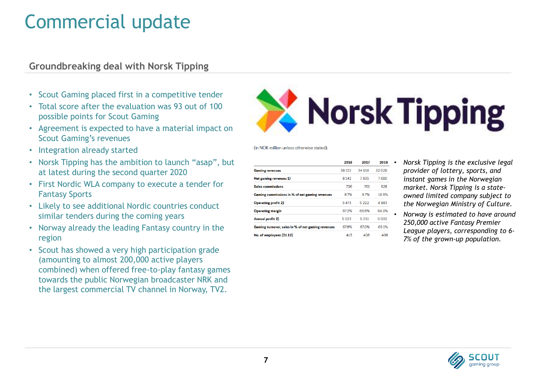### Commercial update

#### **Groundbreaking deal with Norsk Tipping**

- Scout Gaming placed first in a competitive tender
- Total score after the evaluation was 93 out of 100 possible points for Scout Gaming
- Agreement is expected to have a material impact on Scout Gaming's revenues
- Integration already started
- Norsk Tipping has the ambition to launch "asap", but at latest during the second quarter 2020
- First Nordic WLA company to execute a tender for Fantasy Sports
- Likely to see additional Nordic countries conduct similar tenders during the coming years
- Norway already the leading Fantasy country in the region
- Scout has showed a very high participation grade (amounting to almost 200,000 active players combined) when offered free-to-play fantasy games towards the public Norwegian broadcaster NRK and the largest commercial TV channel in Norway, TV2.



(in NOK million unless otherwise stated).

| 2018  | 2017   | 2016  |
|-------|--------|-------|
| 38122 | 34 916 | 32029 |
| 8142  | 7835   | 7680  |
| 706   | 761    | 828   |
| 87%   | 9.7%   | 10.8% |
| 5473  | 5222   | 4983  |
| 672%  | 66.6%  | 64.9% |
| 5523  | 5 251  | 5002  |
| 67.8% | 67.0%  | 65.1% |
| 413   | 406    | 408   |
|       |        |       |

- *Norsk Tipping is the exclusive legal provider of lottery, sports, and instant games in the Norwegian market. Norsk Tipping is a stateowned limited company subject to the Norwegian Ministry of Culture.*
- *Norway is estimated to have around 250,000 active Fantasy Premier League players, corresponding to 6- 7% of the grown-up population.*